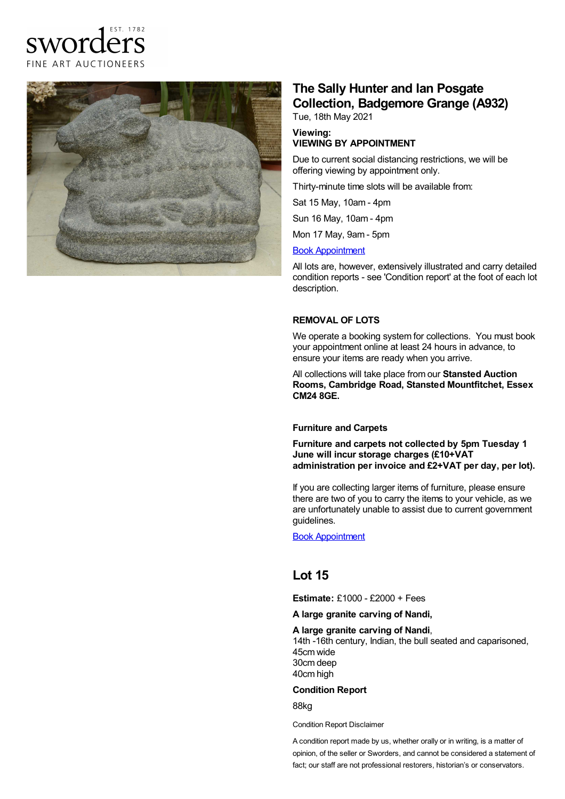



# **The Sally Hunter and Ian Posgate Collection, Badgemore Grange (A932)**

Tue, 18th May 2021

#### **Viewing: VIEWING BY APPOINTMENT**

Due to current social distancing restrictions, we will be offering viewing by appointment only.

Thirty-minute time slots will be available from:

Sat 15 May, 10am - 4pm

Sun 16 May, 10am - 4pm

Mon 17 May, 9am - 5pm

#### Book [Appointment](https://www.sworder.co.uk/appointments/)

All lots are, however, extensively illustrated and carry detailed condition reports - see 'Condition report' at the foot of each lot description.

### **REMOVAL OF LOTS**

We operate a booking system for collections. You must book your appointment online at least 24 hours in advance, to ensure your items are ready when you arrive.

All collections will take place from our **Stansted Auction Rooms, Cambridge Road, Stansted Mountfitchet, Essex CM24 8GE.**

#### **Furniture and Carpets**

**Furniture and carpets not collected by 5pm Tuesday 1 June will incur storage charges (£10+VAT administration per invoice and £2+VAT per day, per lot).**

If you are collecting larger items of furniture, please ensure there are two of you to carry the items to your vehicle, as we are unfortunately unable to assist due to current government guidelines.

Book [Appointment](https://www.sworder.co.uk/appointments/)

## **Lot 15**

**Estimate:** £1000 - £2000 + Fees

**A large granite carving of Nandi,**

#### **A large granite carving of Nandi**,

14th -16th century, Indian, the bull seated and caparisoned, 45cm wide 30cm deep 40cm high

#### **Condition Report**

88kg

Condition Report Disclaimer

A condition report made by us, whether orally or in writing, is a matter of opinion, of the seller or Sworders, and cannot be considered a statement of fact; our staff are not professional restorers, historian's or conservators.